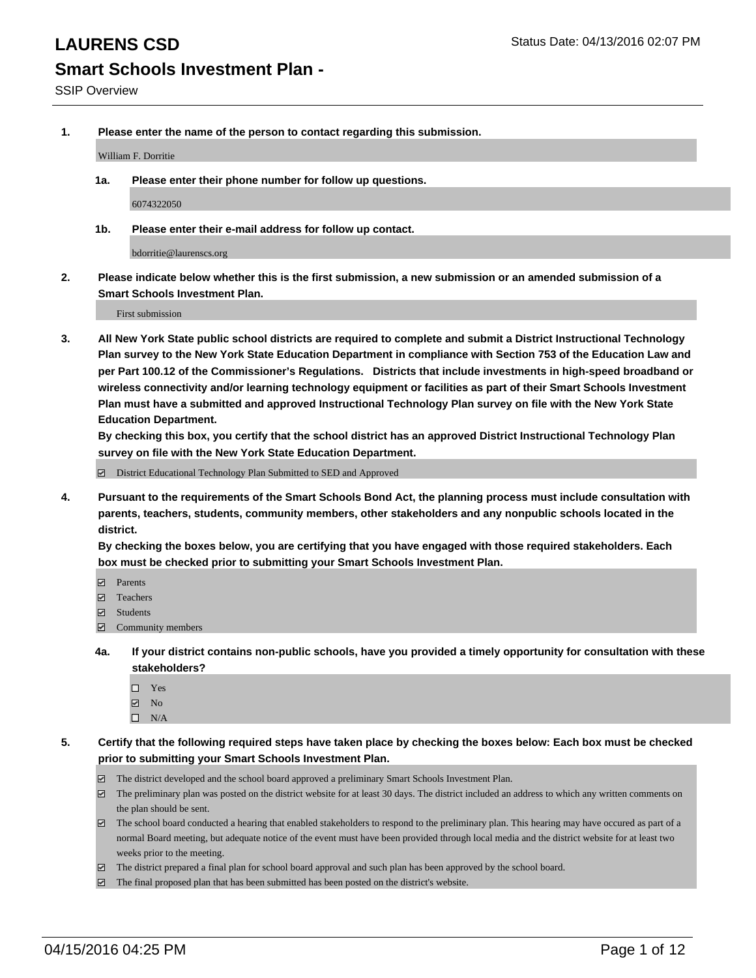**1. Please enter the name of the person to contact regarding this submission.**

William F. Dorritie

**1a. Please enter their phone number for follow up questions.**

6074322050

**1b. Please enter their e-mail address for follow up contact.**

bdorritie@laurenscs.org

**2. Please indicate below whether this is the first submission, a new submission or an amended submission of a Smart Schools Investment Plan.**

First submission

**3. All New York State public school districts are required to complete and submit a District Instructional Technology Plan survey to the New York State Education Department in compliance with Section 753 of the Education Law and per Part 100.12 of the Commissioner's Regulations. Districts that include investments in high-speed broadband or wireless connectivity and/or learning technology equipment or facilities as part of their Smart Schools Investment Plan must have a submitted and approved Instructional Technology Plan survey on file with the New York State Education Department.** 

**By checking this box, you certify that the school district has an approved District Instructional Technology Plan survey on file with the New York State Education Department.**

■ District Educational Technology Plan Submitted to SED and Approved

**4. Pursuant to the requirements of the Smart Schools Bond Act, the planning process must include consultation with parents, teachers, students, community members, other stakeholders and any nonpublic schools located in the district.** 

**By checking the boxes below, you are certifying that you have engaged with those required stakeholders. Each box must be checked prior to submitting your Smart Schools Investment Plan.**

- **Parents**
- □ Teachers
- Students
- $\boxdot$  Community members
- **4a. If your district contains non-public schools, have you provided a timely opportunity for consultation with these stakeholders?**
	- □ Yes
	- **☑** No
	- $\Box$  N/A
- **5. Certify that the following required steps have taken place by checking the boxes below: Each box must be checked prior to submitting your Smart Schools Investment Plan.**
	- The district developed and the school board approved a preliminary Smart Schools Investment Plan.
	- The preliminary plan was posted on the district website for at least 30 days. The district included an address to which any written comments on the plan should be sent.
	- $\Box$  The school board conducted a hearing that enabled stakeholders to respond to the preliminary plan. This hearing may have occured as part of a normal Board meeting, but adequate notice of the event must have been provided through local media and the district website for at least two weeks prior to the meeting.
	- The district prepared a final plan for school board approval and such plan has been approved by the school board.
	- The final proposed plan that has been submitted has been posted on the district's website.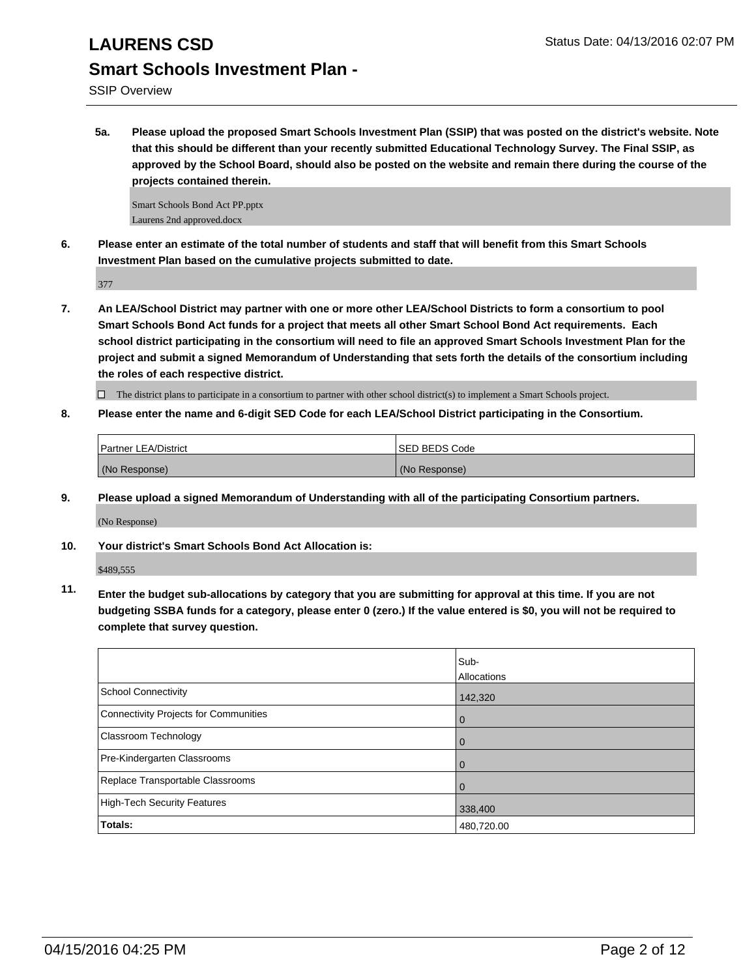SSIP Overview

**5a. Please upload the proposed Smart Schools Investment Plan (SSIP) that was posted on the district's website. Note that this should be different than your recently submitted Educational Technology Survey. The Final SSIP, as approved by the School Board, should also be posted on the website and remain there during the course of the projects contained therein.**

Smart Schools Bond Act PP.pptx Laurens 2nd approved.docx

**6. Please enter an estimate of the total number of students and staff that will benefit from this Smart Schools Investment Plan based on the cumulative projects submitted to date.**

377

**7. An LEA/School District may partner with one or more other LEA/School Districts to form a consortium to pool Smart Schools Bond Act funds for a project that meets all other Smart School Bond Act requirements. Each school district participating in the consortium will need to file an approved Smart Schools Investment Plan for the project and submit a signed Memorandum of Understanding that sets forth the details of the consortium including the roles of each respective district.**

 $\Box$  The district plans to participate in a consortium to partner with other school district(s) to implement a Smart Schools project.

**8. Please enter the name and 6-digit SED Code for each LEA/School District participating in the Consortium.**

| Partner LEA/District | <b>ISED BEDS Code</b> |
|----------------------|-----------------------|
| (No Response)        | (No Response)         |

**9. Please upload a signed Memorandum of Understanding with all of the participating Consortium partners.**

(No Response)

**10. Your district's Smart Schools Bond Act Allocation is:**

\$489,555

**11. Enter the budget sub-allocations by category that you are submitting for approval at this time. If you are not budgeting SSBA funds for a category, please enter 0 (zero.) If the value entered is \$0, you will not be required to complete that survey question.**

|                                       | Sub-<br>Allocations |
|---------------------------------------|---------------------|
| School Connectivity                   | 142,320             |
| Connectivity Projects for Communities | 0                   |
| <b>Classroom Technology</b>           | 0                   |
| Pre-Kindergarten Classrooms           | 0                   |
| Replace Transportable Classrooms      | O                   |
| High-Tech Security Features           | 338,400             |
| Totals:                               | 480,720.00          |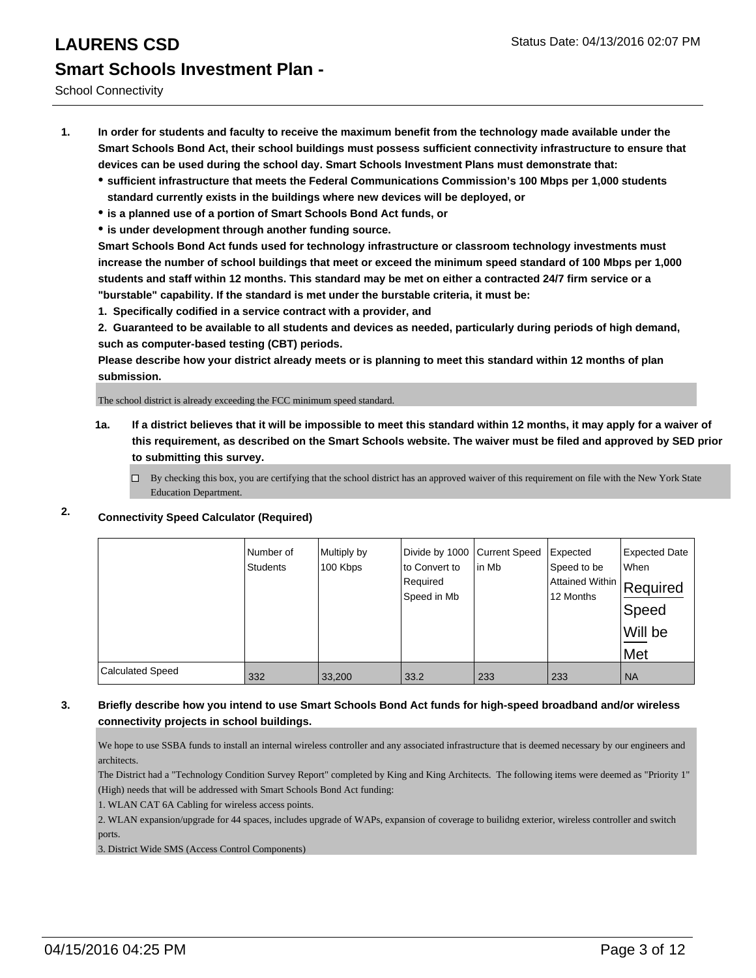School Connectivity

- **1. In order for students and faculty to receive the maximum benefit from the technology made available under the Smart Schools Bond Act, their school buildings must possess sufficient connectivity infrastructure to ensure that devices can be used during the school day. Smart Schools Investment Plans must demonstrate that:**
	- **sufficient infrastructure that meets the Federal Communications Commission's 100 Mbps per 1,000 students standard currently exists in the buildings where new devices will be deployed, or**
	- **is a planned use of a portion of Smart Schools Bond Act funds, or**
	- **is under development through another funding source.**

**Smart Schools Bond Act funds used for technology infrastructure or classroom technology investments must increase the number of school buildings that meet or exceed the minimum speed standard of 100 Mbps per 1,000 students and staff within 12 months. This standard may be met on either a contracted 24/7 firm service or a "burstable" capability. If the standard is met under the burstable criteria, it must be:**

**1. Specifically codified in a service contract with a provider, and**

**2. Guaranteed to be available to all students and devices as needed, particularly during periods of high demand, such as computer-based testing (CBT) periods.**

**Please describe how your district already meets or is planning to meet this standard within 12 months of plan submission.**

The school district is already exceeding the FCC minimum speed standard.

- **1a. If a district believes that it will be impossible to meet this standard within 12 months, it may apply for a waiver of this requirement, as described on the Smart Schools website. The waiver must be filed and approved by SED prior to submitting this survey.**
	- □ By checking this box, you are certifying that the school district has an approved waiver of this requirement on file with the New York State Education Department.
- **2. Connectivity Speed Calculator (Required)**

|                         | Number of<br><b>Students</b> | Multiply by<br>100 Kbps | Divide by 1000 Current Speed<br>to Convert to<br>Required<br>Speed in Mb | lin Mb | Expected<br>Speed to be<br>Attained Within Required<br>12 Months | <b>Expected Date</b><br>When<br>Speed<br>Will be<br>Met |
|-------------------------|------------------------------|-------------------------|--------------------------------------------------------------------------|--------|------------------------------------------------------------------|---------------------------------------------------------|
| <b>Calculated Speed</b> | 332                          | 33,200                  | 33.2                                                                     | 233    | 233                                                              | <b>NA</b>                                               |

## **3. Briefly describe how you intend to use Smart Schools Bond Act funds for high-speed broadband and/or wireless connectivity projects in school buildings.**

We hope to use SSBA funds to install an internal wireless controller and any associated infrastructure that is deemed necessary by our engineers and architects.

The District had a "Technology Condition Survey Report" completed by King and King Architects. The following items were deemed as "Priority 1" (High) needs that will be addressed with Smart Schools Bond Act funding:

1. WLAN CAT 6A Cabling for wireless access points.

2. WLAN expansion/upgrade for 44 spaces, includes upgrade of WAPs, expansion of coverage to builidng exterior, wireless controller and switch ports.

3. District Wide SMS (Access Control Components)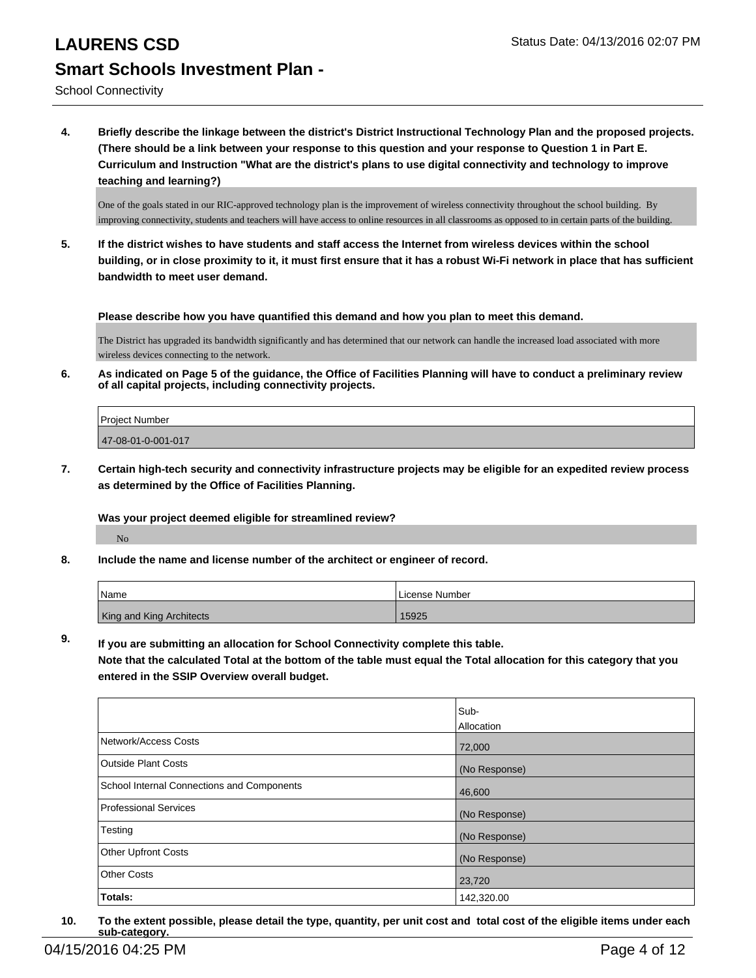School Connectivity

**4. Briefly describe the linkage between the district's District Instructional Technology Plan and the proposed projects. (There should be a link between your response to this question and your response to Question 1 in Part E. Curriculum and Instruction "What are the district's plans to use digital connectivity and technology to improve teaching and learning?)**

One of the goals stated in our RIC-approved technology plan is the improvement of wireless connectivity throughout the school building. By improving connectivity, students and teachers will have access to online resources in all classrooms as opposed to in certain parts of the building.

**5. If the district wishes to have students and staff access the Internet from wireless devices within the school building, or in close proximity to it, it must first ensure that it has a robust Wi-Fi network in place that has sufficient bandwidth to meet user demand.**

**Please describe how you have quantified this demand and how you plan to meet this demand.**

The District has upgraded its bandwidth significantly and has determined that our network can handle the increased load associated with more wireless devices connecting to the network.

**6. As indicated on Page 5 of the guidance, the Office of Facilities Planning will have to conduct a preliminary review of all capital projects, including connectivity projects.**

| Project Number     |  |
|--------------------|--|
| 47-08-01-0-001-017 |  |
|                    |  |

**7. Certain high-tech security and connectivity infrastructure projects may be eligible for an expedited review process as determined by the Office of Facilities Planning.**

**Was your project deemed eligible for streamlined review?**

No

**8. Include the name and license number of the architect or engineer of record.**

| <b>Name</b>                     | License Number |
|---------------------------------|----------------|
| <b>King and King Architects</b> | 15925          |

**9. If you are submitting an allocation for School Connectivity complete this table. Note that the calculated Total at the bottom of the table must equal the Total allocation for this category that you entered in the SSIP Overview overall budget.** 

|                                                   | Sub-<br><b>Allocation</b> |
|---------------------------------------------------|---------------------------|
| Network/Access Costs                              | 72,000                    |
| <b>Outside Plant Costs</b>                        | (No Response)             |
| <b>School Internal Connections and Components</b> | 46,600                    |
| Professional Services                             | (No Response)             |
| Testing                                           | (No Response)             |
| <b>Other Upfront Costs</b>                        | (No Response)             |
| Other Costs                                       | 23,720                    |
| Totals:                                           | 142,320.00                |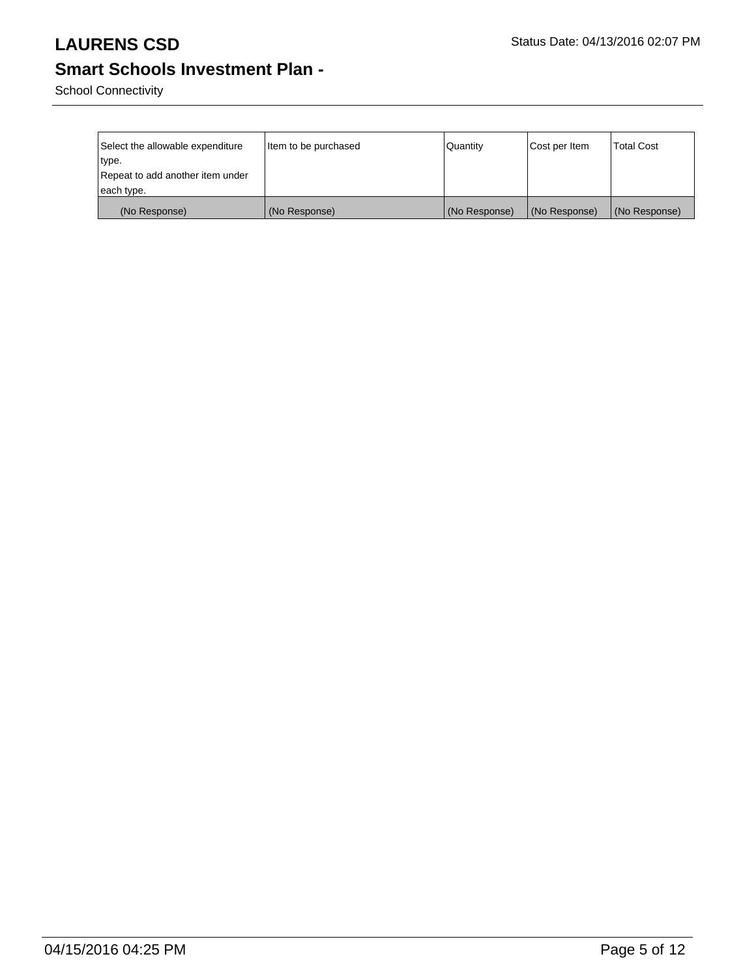School Connectivity

| Select the allowable expenditure | Item to be purchased | Quantity      | Cost per Item | <b>Total Cost</b> |
|----------------------------------|----------------------|---------------|---------------|-------------------|
| ∣type.                           |                      |               |               |                   |
| Repeat to add another item under |                      |               |               |                   |
| each type.                       |                      |               |               |                   |
| (No Response)                    | (No Response)        | (No Response) | (No Response) | (No Response)     |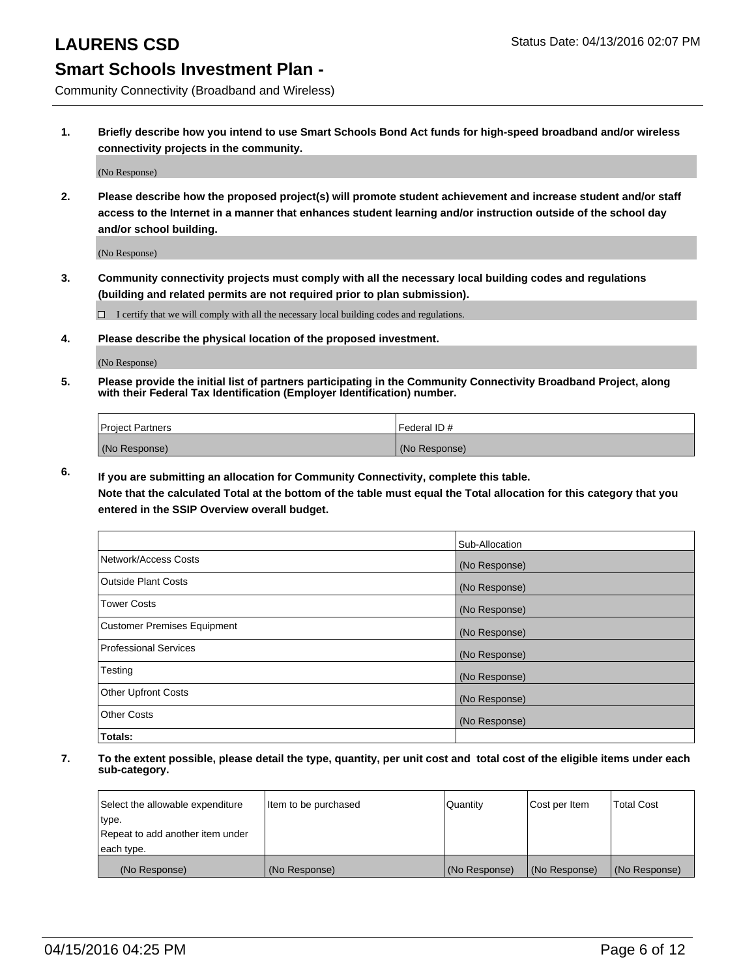Community Connectivity (Broadband and Wireless)

**1. Briefly describe how you intend to use Smart Schools Bond Act funds for high-speed broadband and/or wireless connectivity projects in the community.**

(No Response)

**2. Please describe how the proposed project(s) will promote student achievement and increase student and/or staff access to the Internet in a manner that enhances student learning and/or instruction outside of the school day and/or school building.**

(No Response)

**3. Community connectivity projects must comply with all the necessary local building codes and regulations (building and related permits are not required prior to plan submission).**

 $\Box$  I certify that we will comply with all the necessary local building codes and regulations.

**4. Please describe the physical location of the proposed investment.**

(No Response)

**5. Please provide the initial list of partners participating in the Community Connectivity Broadband Project, along with their Federal Tax Identification (Employer Identification) number.**

| <b>Project Partners</b> | <b>IFederal ID#</b> |
|-------------------------|---------------------|
| (No Response)           | (No Response)       |

**6. If you are submitting an allocation for Community Connectivity, complete this table.**

**Note that the calculated Total at the bottom of the table must equal the Total allocation for this category that you entered in the SSIP Overview overall budget.**

|                                    | Sub-Allocation |
|------------------------------------|----------------|
| Network/Access Costs               | (No Response)  |
| Outside Plant Costs                | (No Response)  |
| <b>Tower Costs</b>                 | (No Response)  |
| <b>Customer Premises Equipment</b> | (No Response)  |
| Professional Services              | (No Response)  |
| Testing                            | (No Response)  |
| <b>Other Upfront Costs</b>         | (No Response)  |
| <b>Other Costs</b>                 | (No Response)  |
| Totals:                            |                |

| Select the allowable expenditure | Item to be purchased | Quantity      | Cost per Item | <b>Total Cost</b> |
|----------------------------------|----------------------|---------------|---------------|-------------------|
| type.                            |                      |               |               |                   |
| Repeat to add another item under |                      |               |               |                   |
| each type.                       |                      |               |               |                   |
| (No Response)                    | (No Response)        | (No Response) | (No Response) | (No Response)     |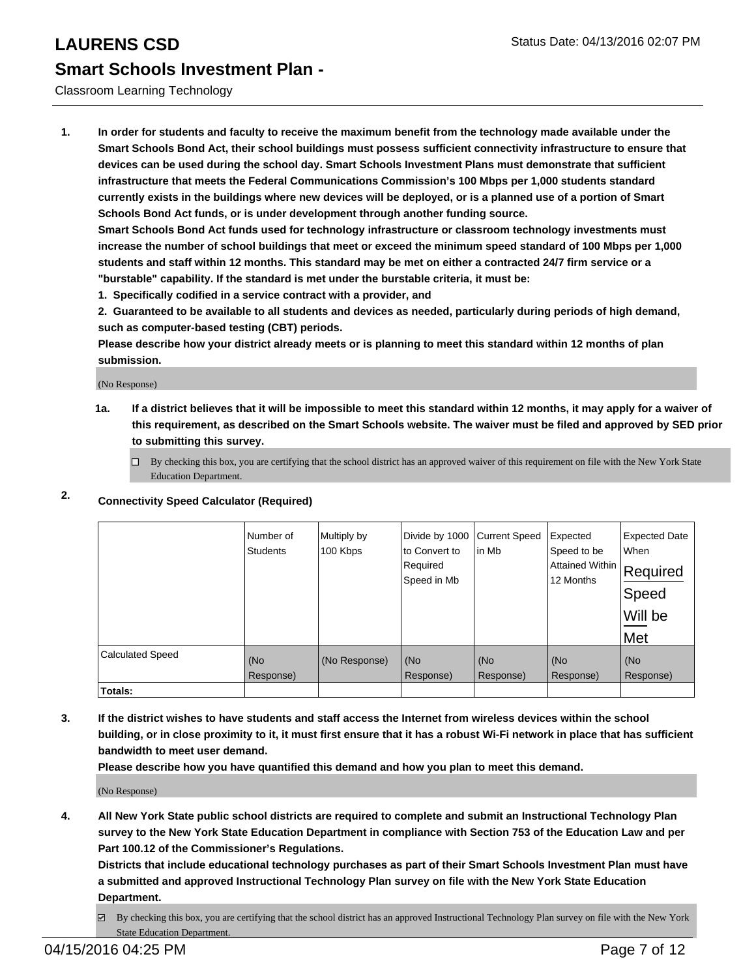## Classroom Learning Technology

**1. In order for students and faculty to receive the maximum benefit from the technology made available under the Smart Schools Bond Act, their school buildings must possess sufficient connectivity infrastructure to ensure that devices can be used during the school day. Smart Schools Investment Plans must demonstrate that sufficient infrastructure that meets the Federal Communications Commission's 100 Mbps per 1,000 students standard currently exists in the buildings where new devices will be deployed, or is a planned use of a portion of Smart Schools Bond Act funds, or is under development through another funding source.**

**Smart Schools Bond Act funds used for technology infrastructure or classroom technology investments must increase the number of school buildings that meet or exceed the minimum speed standard of 100 Mbps per 1,000 students and staff within 12 months. This standard may be met on either a contracted 24/7 firm service or a "burstable" capability. If the standard is met under the burstable criteria, it must be:**

**1. Specifically codified in a service contract with a provider, and**

**2. Guaranteed to be available to all students and devices as needed, particularly during periods of high demand, such as computer-based testing (CBT) periods.**

**Please describe how your district already meets or is planning to meet this standard within 12 months of plan submission.**

(No Response)

**1a. If a district believes that it will be impossible to meet this standard within 12 months, it may apply for a waiver of this requirement, as described on the Smart Schools website. The waiver must be filed and approved by SED prior to submitting this survey.**

 $\Box$  By checking this box, you are certifying that the school district has an approved waiver of this requirement on file with the New York State Education Department.

## **2. Connectivity Speed Calculator (Required)**

|                         | Number of<br><b>Students</b> | Multiply by<br>100 Kbps | Divide by 1000<br>to Convert to<br>Required<br>Speed in Mb | <b>Current Speed</b><br>lin Mb | Expected<br>Speed to be<br> Attained Within   Required<br>12 Months | <b>Expected Date</b><br>When<br>Speed<br>Will be<br>Met |
|-------------------------|------------------------------|-------------------------|------------------------------------------------------------|--------------------------------|---------------------------------------------------------------------|---------------------------------------------------------|
| <b>Calculated Speed</b> | (No<br>Response)             | (No Response)           | (No<br>Response)                                           | (No<br>Response)               | (No<br>Response)                                                    | (No<br>Response)                                        |
| <b>Totals:</b>          |                              |                         |                                                            |                                |                                                                     |                                                         |

**3. If the district wishes to have students and staff access the Internet from wireless devices within the school building, or in close proximity to it, it must first ensure that it has a robust Wi-Fi network in place that has sufficient bandwidth to meet user demand.**

**Please describe how you have quantified this demand and how you plan to meet this demand.**

(No Response)

**4. All New York State public school districts are required to complete and submit an Instructional Technology Plan survey to the New York State Education Department in compliance with Section 753 of the Education Law and per Part 100.12 of the Commissioner's Regulations.**

**Districts that include educational technology purchases as part of their Smart Schools Investment Plan must have a submitted and approved Instructional Technology Plan survey on file with the New York State Education Department.**

By checking this box, you are certifying that the school district has an approved Instructional Technology Plan survey on file with the New York State Education Department.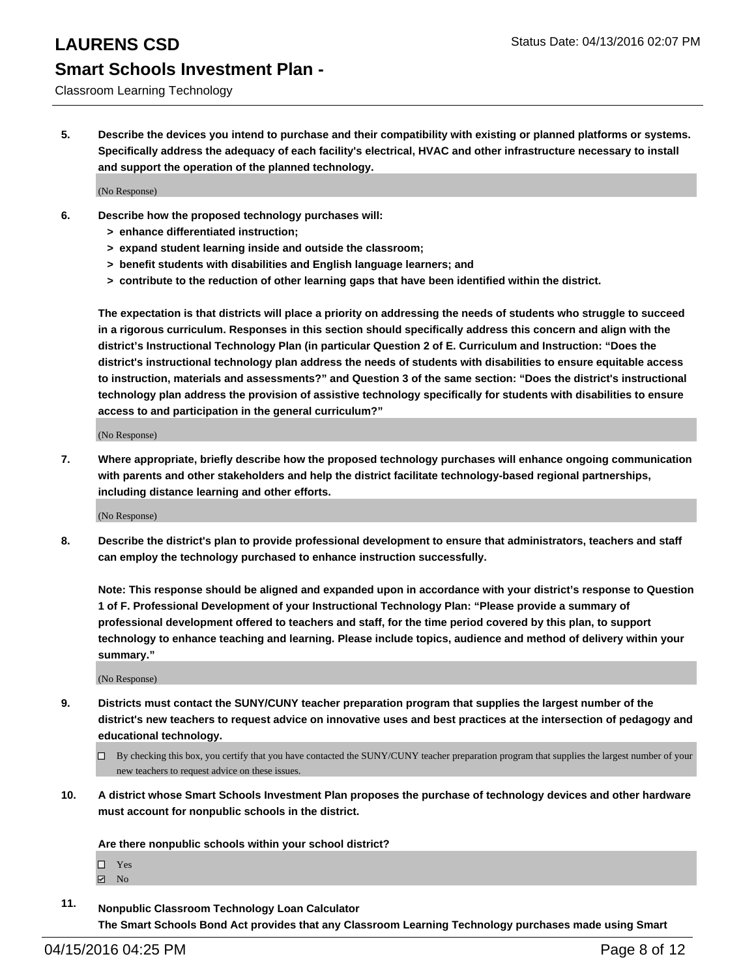Classroom Learning Technology

**5. Describe the devices you intend to purchase and their compatibility with existing or planned platforms or systems. Specifically address the adequacy of each facility's electrical, HVAC and other infrastructure necessary to install and support the operation of the planned technology.**

(No Response)

- **6. Describe how the proposed technology purchases will:**
	- **> enhance differentiated instruction;**
	- **> expand student learning inside and outside the classroom;**
	- **> benefit students with disabilities and English language learners; and**
	- **> contribute to the reduction of other learning gaps that have been identified within the district.**

**The expectation is that districts will place a priority on addressing the needs of students who struggle to succeed in a rigorous curriculum. Responses in this section should specifically address this concern and align with the district's Instructional Technology Plan (in particular Question 2 of E. Curriculum and Instruction: "Does the district's instructional technology plan address the needs of students with disabilities to ensure equitable access to instruction, materials and assessments?" and Question 3 of the same section: "Does the district's instructional technology plan address the provision of assistive technology specifically for students with disabilities to ensure access to and participation in the general curriculum?"**

(No Response)

**7. Where appropriate, briefly describe how the proposed technology purchases will enhance ongoing communication with parents and other stakeholders and help the district facilitate technology-based regional partnerships, including distance learning and other efforts.**

(No Response)

**8. Describe the district's plan to provide professional development to ensure that administrators, teachers and staff can employ the technology purchased to enhance instruction successfully.**

**Note: This response should be aligned and expanded upon in accordance with your district's response to Question 1 of F. Professional Development of your Instructional Technology Plan: "Please provide a summary of professional development offered to teachers and staff, for the time period covered by this plan, to support technology to enhance teaching and learning. Please include topics, audience and method of delivery within your summary."**

(No Response)

- **9. Districts must contact the SUNY/CUNY teacher preparation program that supplies the largest number of the district's new teachers to request advice on innovative uses and best practices at the intersection of pedagogy and educational technology.**
	- $\Box$  By checking this box, you certify that you have contacted the SUNY/CUNY teacher preparation program that supplies the largest number of your new teachers to request advice on these issues.
- **10. A district whose Smart Schools Investment Plan proposes the purchase of technology devices and other hardware must account for nonpublic schools in the district.**

**Are there nonpublic schools within your school district?**

□ Yes

- $\boxdot$  No
- **11. Nonpublic Classroom Technology Loan Calculator The Smart Schools Bond Act provides that any Classroom Learning Technology purchases made using Smart**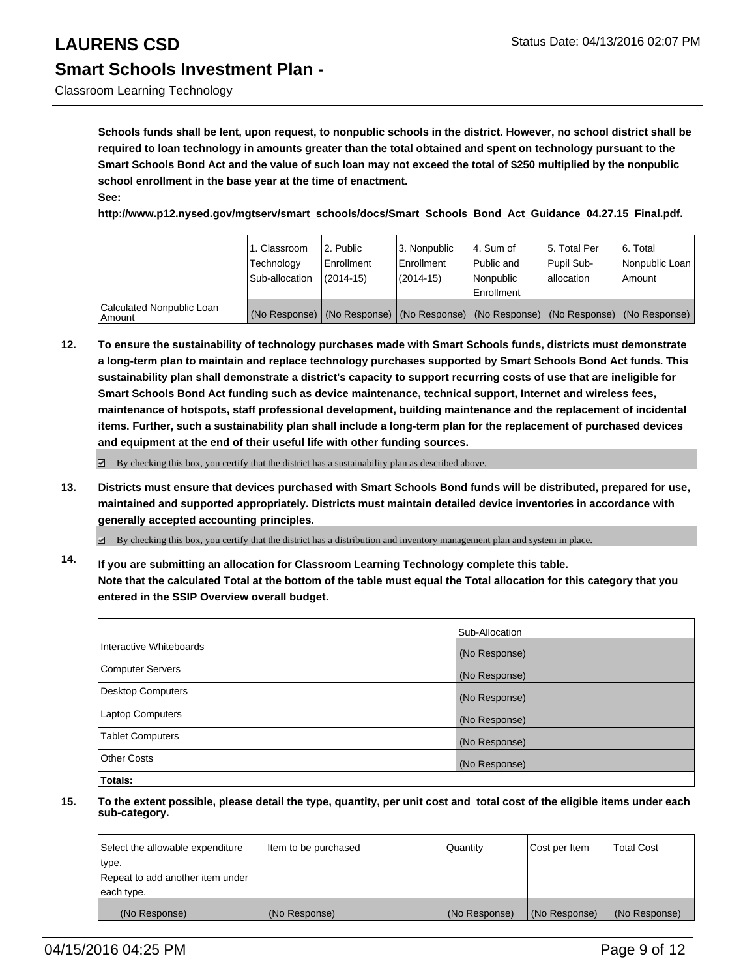Classroom Learning Technology

**Schools funds shall be lent, upon request, to nonpublic schools in the district. However, no school district shall be required to loan technology in amounts greater than the total obtained and spent on technology pursuant to the Smart Schools Bond Act and the value of such loan may not exceed the total of \$250 multiplied by the nonpublic school enrollment in the base year at the time of enactment. See:**

**http://www.p12.nysed.gov/mgtserv/smart\_schools/docs/Smart\_Schools\_Bond\_Act\_Guidance\_04.27.15\_Final.pdf.**

|                                       | 1. Classroom<br>Technology<br>Sub-allocation | 12. Public<br>Enrollment<br>$(2014-15)$ | 3. Nonpublic<br><b>Enrollment</b><br>$(2014 - 15)$                                            | 4. Sum of<br>Public and<br>Nonpublic<br>Enrollment | 15. Total Per<br>Pupil Sub-<br>lallocation | 6. Total<br>Nonpublic Loan<br>Amount |
|---------------------------------------|----------------------------------------------|-----------------------------------------|-----------------------------------------------------------------------------------------------|----------------------------------------------------|--------------------------------------------|--------------------------------------|
| Calculated Nonpublic Loan<br>  Amount |                                              |                                         | (No Response)   (No Response)   (No Response)   (No Response)   (No Response)   (No Response) |                                                    |                                            |                                      |

**12. To ensure the sustainability of technology purchases made with Smart Schools funds, districts must demonstrate a long-term plan to maintain and replace technology purchases supported by Smart Schools Bond Act funds. This sustainability plan shall demonstrate a district's capacity to support recurring costs of use that are ineligible for Smart Schools Bond Act funding such as device maintenance, technical support, Internet and wireless fees, maintenance of hotspots, staff professional development, building maintenance and the replacement of incidental items. Further, such a sustainability plan shall include a long-term plan for the replacement of purchased devices and equipment at the end of their useful life with other funding sources.**

 $\boxtimes$  By checking this box, you certify that the district has a sustainability plan as described above.

**13. Districts must ensure that devices purchased with Smart Schools Bond funds will be distributed, prepared for use, maintained and supported appropriately. Districts must maintain detailed device inventories in accordance with generally accepted accounting principles.**

By checking this box, you certify that the district has a distribution and inventory management plan and system in place.

**14. If you are submitting an allocation for Classroom Learning Technology complete this table. Note that the calculated Total at the bottom of the table must equal the Total allocation for this category that you entered in the SSIP Overview overall budget.**

|                          | Sub-Allocation |
|--------------------------|----------------|
| Interactive Whiteboards  | (No Response)  |
| <b>Computer Servers</b>  | (No Response)  |
| <b>Desktop Computers</b> | (No Response)  |
| Laptop Computers         | (No Response)  |
| <b>Tablet Computers</b>  | (No Response)  |
| Other Costs              | (No Response)  |
| Totals:                  |                |

| Select the allowable expenditure | Item to be purchased | Quantity      | Cost per Item | <b>Total Cost</b> |
|----------------------------------|----------------------|---------------|---------------|-------------------|
| type.                            |                      |               |               |                   |
| Repeat to add another item under |                      |               |               |                   |
| each type.                       |                      |               |               |                   |
| (No Response)                    | (No Response)        | (No Response) | (No Response) | (No Response)     |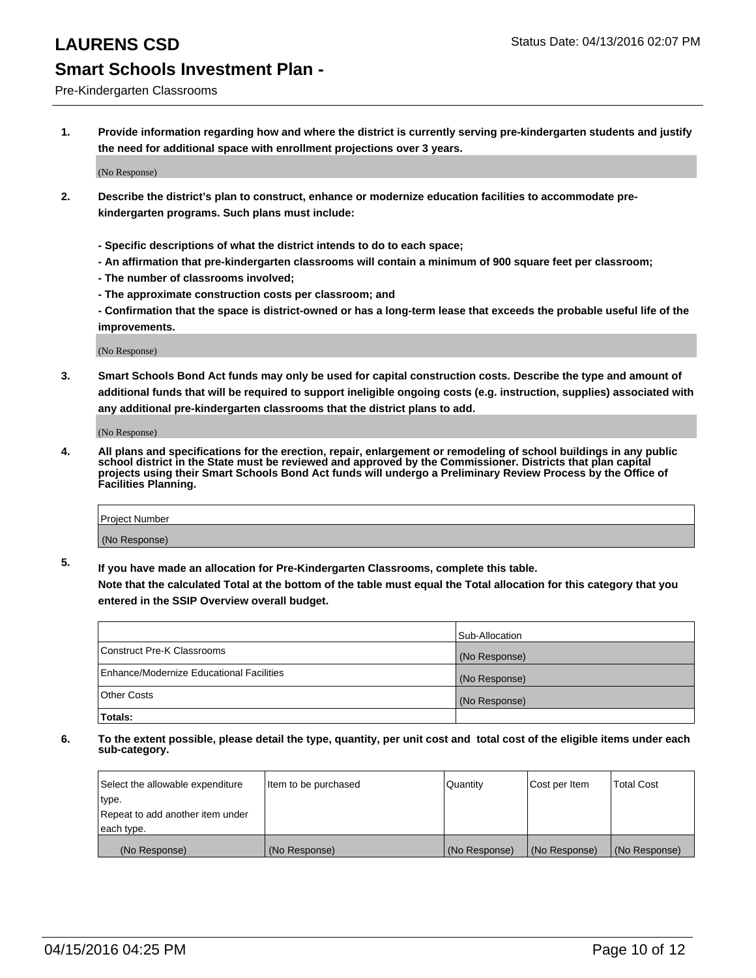### Pre-Kindergarten Classrooms

**1. Provide information regarding how and where the district is currently serving pre-kindergarten students and justify the need for additional space with enrollment projections over 3 years.**

(No Response)

- **2. Describe the district's plan to construct, enhance or modernize education facilities to accommodate prekindergarten programs. Such plans must include:**
	- **Specific descriptions of what the district intends to do to each space;**
	- **An affirmation that pre-kindergarten classrooms will contain a minimum of 900 square feet per classroom;**
	- **The number of classrooms involved;**
	- **The approximate construction costs per classroom; and**
	- **Confirmation that the space is district-owned or has a long-term lease that exceeds the probable useful life of the improvements.**

(No Response)

**3. Smart Schools Bond Act funds may only be used for capital construction costs. Describe the type and amount of additional funds that will be required to support ineligible ongoing costs (e.g. instruction, supplies) associated with any additional pre-kindergarten classrooms that the district plans to add.**

(No Response)

**4. All plans and specifications for the erection, repair, enlargement or remodeling of school buildings in any public school district in the State must be reviewed and approved by the Commissioner. Districts that plan capital projects using their Smart Schools Bond Act funds will undergo a Preliminary Review Process by the Office of Facilities Planning.**

| Project Number |  |
|----------------|--|
| (No Response)  |  |

**5. If you have made an allocation for Pre-Kindergarten Classrooms, complete this table. Note that the calculated Total at the bottom of the table must equal the Total allocation for this category that you**

**entered in the SSIP Overview overall budget.**

|                                          | Sub-Allocation |
|------------------------------------------|----------------|
| Construct Pre-K Classrooms               | (No Response)  |
| Enhance/Modernize Educational Facilities | (No Response)  |
| Other Costs                              | (No Response)  |
| Totals:                                  |                |

| Select the allowable expenditure | Item to be purchased | Quantity      | Cost per Item | <b>Total Cost</b> |
|----------------------------------|----------------------|---------------|---------------|-------------------|
| type.                            |                      |               |               |                   |
| Repeat to add another item under |                      |               |               |                   |
| each type.                       |                      |               |               |                   |
| (No Response)                    | (No Response)        | (No Response) | (No Response) | (No Response)     |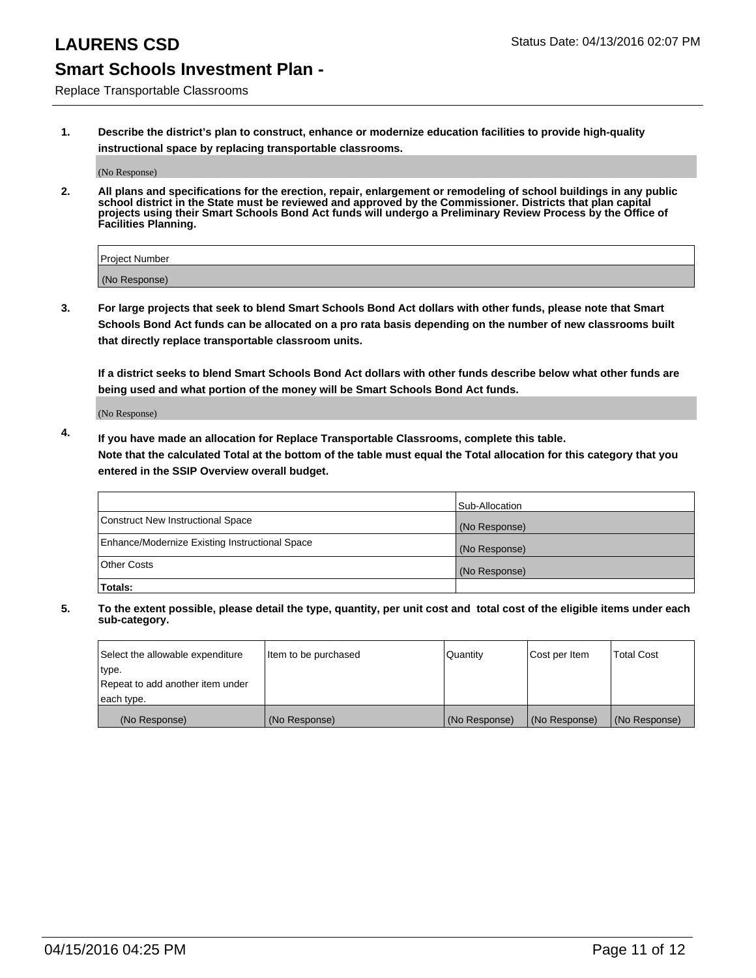Replace Transportable Classrooms

**1. Describe the district's plan to construct, enhance or modernize education facilities to provide high-quality instructional space by replacing transportable classrooms.**

(No Response)

**2. All plans and specifications for the erection, repair, enlargement or remodeling of school buildings in any public school district in the State must be reviewed and approved by the Commissioner. Districts that plan capital projects using their Smart Schools Bond Act funds will undergo a Preliminary Review Process by the Office of Facilities Planning.**

| Project Number |  |
|----------------|--|
| (No Response)  |  |

**3. For large projects that seek to blend Smart Schools Bond Act dollars with other funds, please note that Smart Schools Bond Act funds can be allocated on a pro rata basis depending on the number of new classrooms built that directly replace transportable classroom units.**

**If a district seeks to blend Smart Schools Bond Act dollars with other funds describe below what other funds are being used and what portion of the money will be Smart Schools Bond Act funds.**

(No Response)

**4. If you have made an allocation for Replace Transportable Classrooms, complete this table. Note that the calculated Total at the bottom of the table must equal the Total allocation for this category that you entered in the SSIP Overview overall budget.**

|                                                | Sub-Allocation |
|------------------------------------------------|----------------|
| Construct New Instructional Space              | (No Response)  |
| Enhance/Modernize Existing Instructional Space | (No Response)  |
| <b>Other Costs</b>                             | (No Response)  |
| Totals:                                        |                |

| Select the allowable expenditure | Item to be purchased | <b>Quantity</b> | Cost per Item | <b>Total Cost</b> |
|----------------------------------|----------------------|-----------------|---------------|-------------------|
| type.                            |                      |                 |               |                   |
| Repeat to add another item under |                      |                 |               |                   |
| each type.                       |                      |                 |               |                   |
| (No Response)                    | (No Response)        | (No Response)   | (No Response) | (No Response)     |